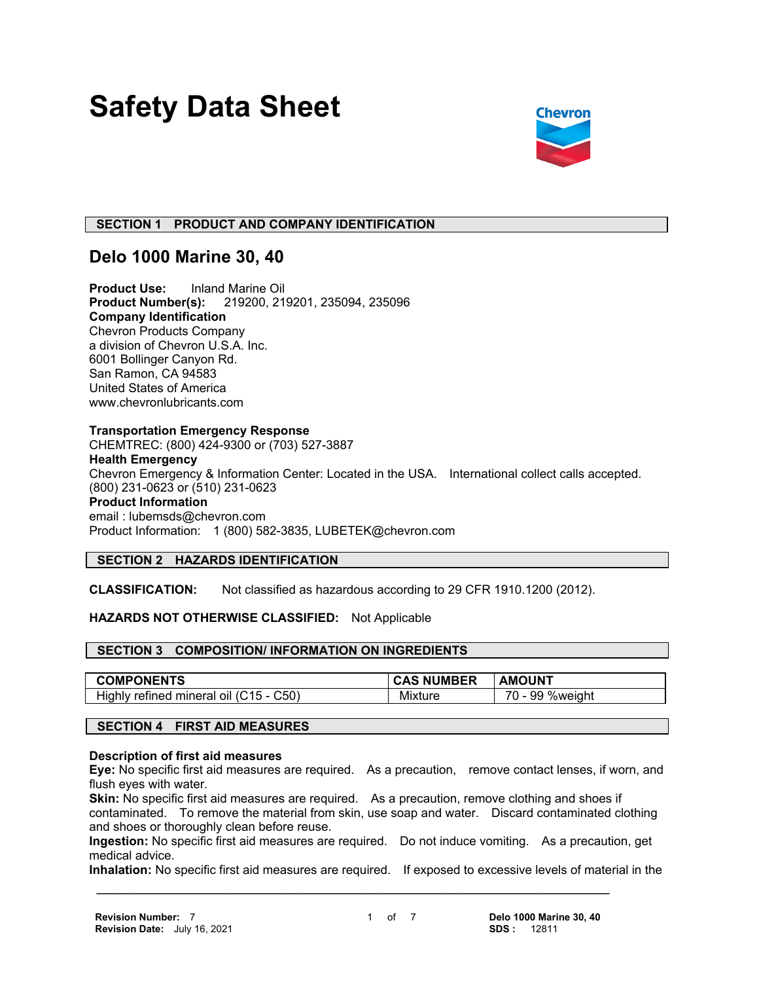# **Safety Data Sheet**



## **SECTION 1 PRODUCT AND COMPANY IDENTIFICATION**

## **Delo 1000 Marine 30, 40**

**Product Use:** Inland Marine Oil **Product Number(s):** 219200, 219201, 235094, 235096 **Company Identification** Chevron Products Company a division of Chevron U.S.A. Inc. 6001 Bollinger Canyon Rd. San Ramon, CA 94583 United States of America www.chevronlubricants.com

#### **Transportation Emergency Response**

CHEMTREC: (800) 424-9300 or (703) 527-3887 **Health Emergency** Chevron Emergency & Information Center: Located in the USA. International collect calls accepted. (800) 231-0623 or (510) 231-0623 **Product Information** email : lubemsds@chevron.com Product Information: 1 (800) 582-3835, LUBETEK@chevron.com

## **SECTION 2 HAZARDS IDENTIFICATION**

**CLASSIFICATION:** Not classified as hazardous according to 29 CFR 1910.1200 (2012).

#### **HAZARDS NOT OTHERWISE CLASSIFIED:** Not Applicable

#### **SECTION 3 COMPOSITION/ INFORMATION ON INGREDIENTS**

| <b>COMPONENTS</b>                                    | <b>NUMBER</b> | AMOUNT                          |
|------------------------------------------------------|---------------|---------------------------------|
| C50'<br>Highly<br>.15<br>refined<br>mineral<br>. OIL | Mixture       | 70<br>99<br><b>%weight</b><br>. |

#### **SECTION 4 FIRST AID MEASURES**

#### **Description of first aid measures**

**Eye:** No specific first aid measures are required. As a precaution, remove contact lenses, if worn, and flush eyes with water.

**Skin:** No specific first aid measures are required. As a precaution, remove clothing and shoes if contaminated. To remove the material from skin, use soap and water. Discard contaminated clothing and shoes or thoroughly clean before reuse.

**Ingestion:** No specific first aid measures are required. Do not induce vomiting. As a precaution, get medical advice.

**Inhalation:** No specific first aid measures are required. If exposed to excessive levels of material in the

 **\_\_\_\_\_\_\_\_\_\_\_\_\_\_\_\_\_\_\_\_\_\_\_\_\_\_\_\_\_\_\_\_\_\_\_\_\_\_\_\_\_\_\_\_\_\_\_\_\_\_\_\_\_\_\_\_\_\_\_\_\_\_\_\_\_\_\_\_\_**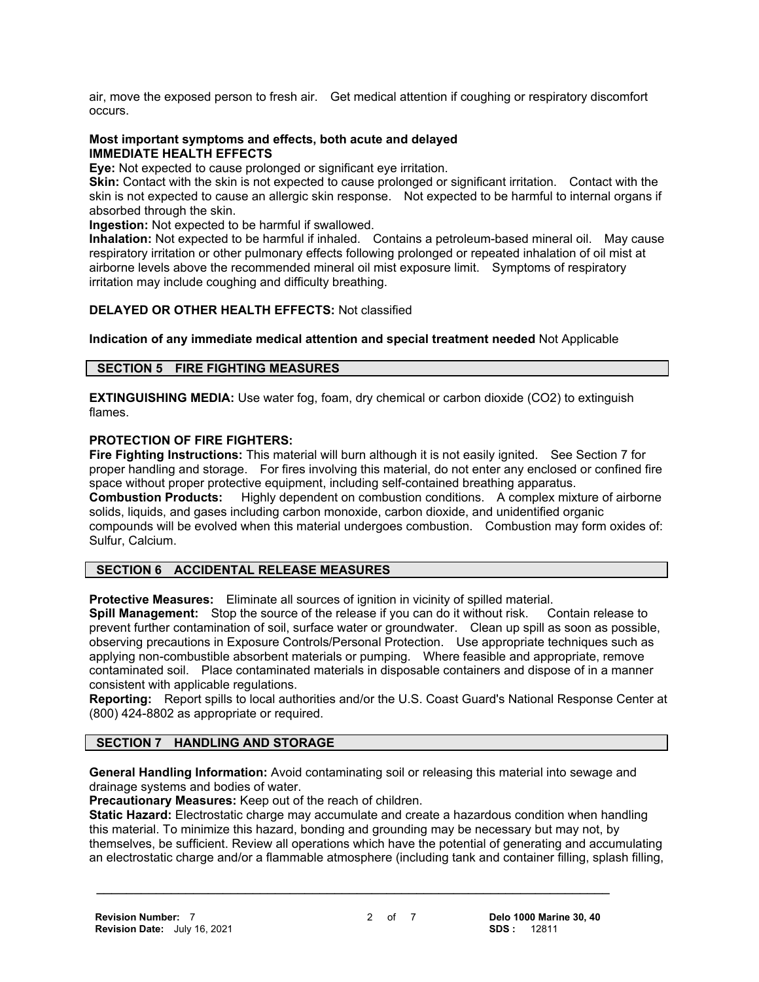air, move the exposed person to fresh air. Get medical attention if coughing or respiratory discomfort occurs.

#### **Most important symptoms and effects, both acute and delayed IMMEDIATE HEALTH EFFECTS**

**Eye:** Not expected to cause prolonged or significant eye irritation.

**Skin:** Contact with the skin is not expected to cause prolonged or significant irritation. Contact with the skin is not expected to cause an allergic skin response. Not expected to be harmful to internal organs if absorbed through the skin.

**Ingestion:** Not expected to be harmful if swallowed.

**Inhalation:** Not expected to be harmful if inhaled. Contains a petroleum-based mineral oil. May cause respiratory irritation or other pulmonary effects following prolonged or repeated inhalation of oil mist at airborne levels above the recommended mineral oil mist exposure limit. Symptoms of respiratory irritation may include coughing and difficulty breathing.

## **DELAYED OR OTHER HEALTH EFFECTS:** Not classified

**Indication of any immediate medical attention and special treatment needed** Not Applicable

### **SECTION 5 FIRE FIGHTING MEASURES**

**EXTINGUISHING MEDIA:** Use water fog, foam, dry chemical or carbon dioxide (CO2) to extinguish flames.

### **PROTECTION OF FIRE FIGHTERS:**

**Fire Fighting Instructions:** This material will burn although it is not easily ignited. See Section 7 for proper handling and storage. For fires involving this material, do not enter any enclosed or confined fire space without proper protective equipment, including self-contained breathing apparatus.

**Combustion Products:** Highly dependent on combustion conditions. A complex mixture of airborne solids, liquids, and gases including carbon monoxide, carbon dioxide, and unidentified organic compounds will be evolved when this material undergoes combustion. Combustion may form oxides of: Sulfur, Calcium.

## **SECTION 6 ACCIDENTAL RELEASE MEASURES**

**Protective Measures:** Eliminate all sources of ignition in vicinity of spilled material.

**Spill Management:** Stop the source of the release if you can do it without risk. Contain release to prevent further contamination of soil, surface water or groundwater. Clean up spill as soon as possible, observing precautions in Exposure Controls/Personal Protection. Use appropriate techniques such as applying non-combustible absorbent materials or pumping. Where feasible and appropriate, remove contaminated soil. Place contaminated materials in disposable containers and dispose of in a manner consistent with applicable regulations.

**Reporting:** Report spills to local authorities and/or the U.S. Coast Guard's National Response Center at (800) 424-8802 as appropriate or required.

## **SECTION 7 HANDLING AND STORAGE**

**General Handling Information:** Avoid contaminating soil or releasing this material into sewage and drainage systems and bodies of water.

 **\_\_\_\_\_\_\_\_\_\_\_\_\_\_\_\_\_\_\_\_\_\_\_\_\_\_\_\_\_\_\_\_\_\_\_\_\_\_\_\_\_\_\_\_\_\_\_\_\_\_\_\_\_\_\_\_\_\_\_\_\_\_\_\_\_\_\_\_\_**

**Precautionary Measures:** Keep out of the reach of children.

**Static Hazard:** Electrostatic charge may accumulate and create a hazardous condition when handling this material. To minimize this hazard, bonding and grounding may be necessary but may not, by themselves, be sufficient. Review all operations which have the potential of generating and accumulating an electrostatic charge and/or a flammable atmosphere (including tank and container filling, splash filling,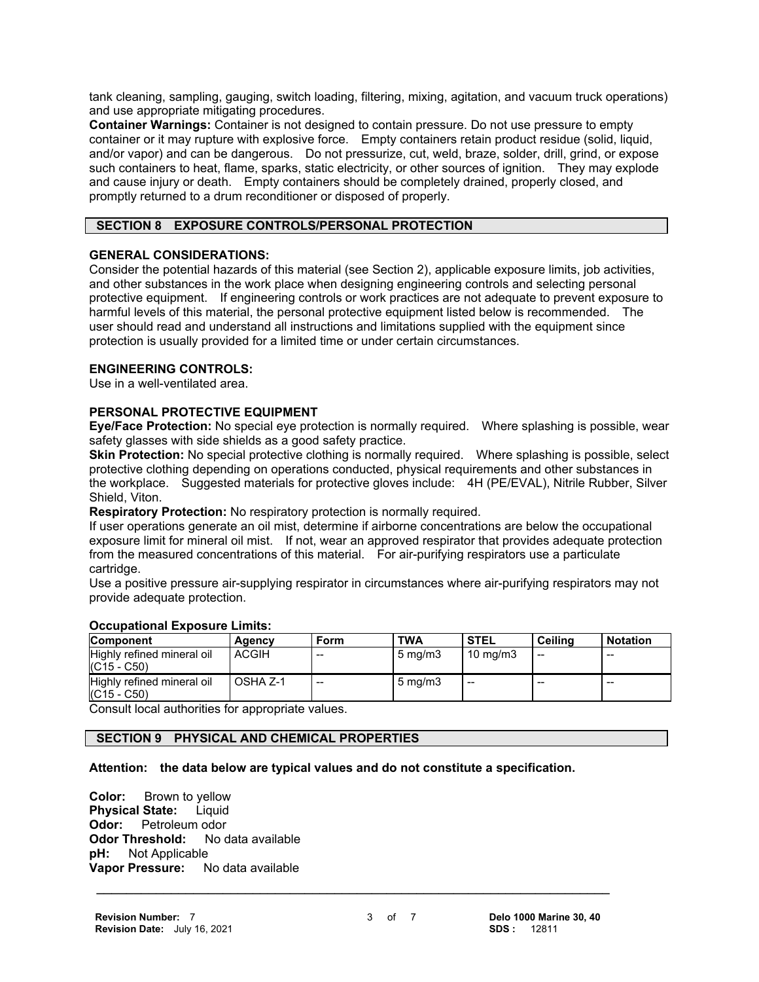tank cleaning, sampling, gauging, switch loading, filtering, mixing, agitation, and vacuum truck operations) and use appropriate mitigating procedures.

**Container Warnings:** Container is not designed to contain pressure. Do not use pressure to empty container or it may rupture with explosive force. Empty containers retain product residue (solid, liquid, and/or vapor) and can be dangerous. Do not pressurize, cut, weld, braze, solder, drill, grind, or expose such containers to heat, flame, sparks, static electricity, or other sources of ignition. They may explode and cause injury or death. Empty containers should be completely drained, properly closed, and promptly returned to a drum reconditioner or disposed of properly.

## **SECTION 8 EXPOSURE CONTROLS/PERSONAL PROTECTION**

### **GENERAL CONSIDERATIONS:**

Consider the potential hazards of this material (see Section 2), applicable exposure limits, job activities, and other substances in the work place when designing engineering controls and selecting personal protective equipment. If engineering controls or work practices are not adequate to prevent exposure to harmful levels of this material, the personal protective equipment listed below is recommended. The user should read and understand all instructions and limitations supplied with the equipment since protection is usually provided for a limited time or under certain circumstances.

## **ENGINEERING CONTROLS:**

Use in a well-ventilated area.

## **PERSONAL PROTECTIVE EQUIPMENT**

**Eye/Face Protection:** No special eye protection is normally required. Where splashing is possible, wear safety glasses with side shields as a good safety practice.

**Skin Protection:** No special protective clothing is normally required. Where splashing is possible, select protective clothing depending on operations conducted, physical requirements and other substances in the workplace. Suggested materials for protective gloves include: 4H (PE/EVAL), Nitrile Rubber, Silver Shield, Viton.

**Respiratory Protection:** No respiratory protection is normally required.

If user operations generate an oil mist, determine if airborne concentrations are below the occupational exposure limit for mineral oil mist. If not, wear an approved respirator that provides adequate protection from the measured concentrations of this material. For air-purifying respirators use a particulate cartridge.

Use a positive pressure air-supplying respirator in circumstances where air-purifying respirators may not provide adequate protection.

| <b>Component</b>                            | Agency       | Form  | <b>TWA</b>         | <b>STEL</b>       | <b>Ceiling</b> | <b>Notation</b> |
|---------------------------------------------|--------------|-------|--------------------|-------------------|----------------|-----------------|
| Highly refined mineral oil<br>$(C15 - C50)$ | <b>ACGIH</b> | $- -$ | $5 \text{ ma/m}$ 3 | $10 \text{ mg/m}$ | $-$            | $-$             |
| Highly refined mineral oil<br>$(C15 - C50)$ | OSHA Z-1     | $- -$ | $5 \text{ mg/m}$   | $- -$             | $-$            | --              |

#### **Occupational Exposure Limits:**

Consult local authorities for appropriate values.

## **SECTION 9 PHYSICAL AND CHEMICAL PROPERTIES**

#### **Attention: the data below are typical values and do not constitute a specification.**

 **\_\_\_\_\_\_\_\_\_\_\_\_\_\_\_\_\_\_\_\_\_\_\_\_\_\_\_\_\_\_\_\_\_\_\_\_\_\_\_\_\_\_\_\_\_\_\_\_\_\_\_\_\_\_\_\_\_\_\_\_\_\_\_\_\_\_\_\_\_**

**Color:** Brown to yellow **Physical State:** Liquid **Odor:** Petroleum odor<br>**Odor Threshold:** No data available **Odor Threshold:**<br>**pH:** Not Applical **Not Applicable Vapor Pressure:** No data available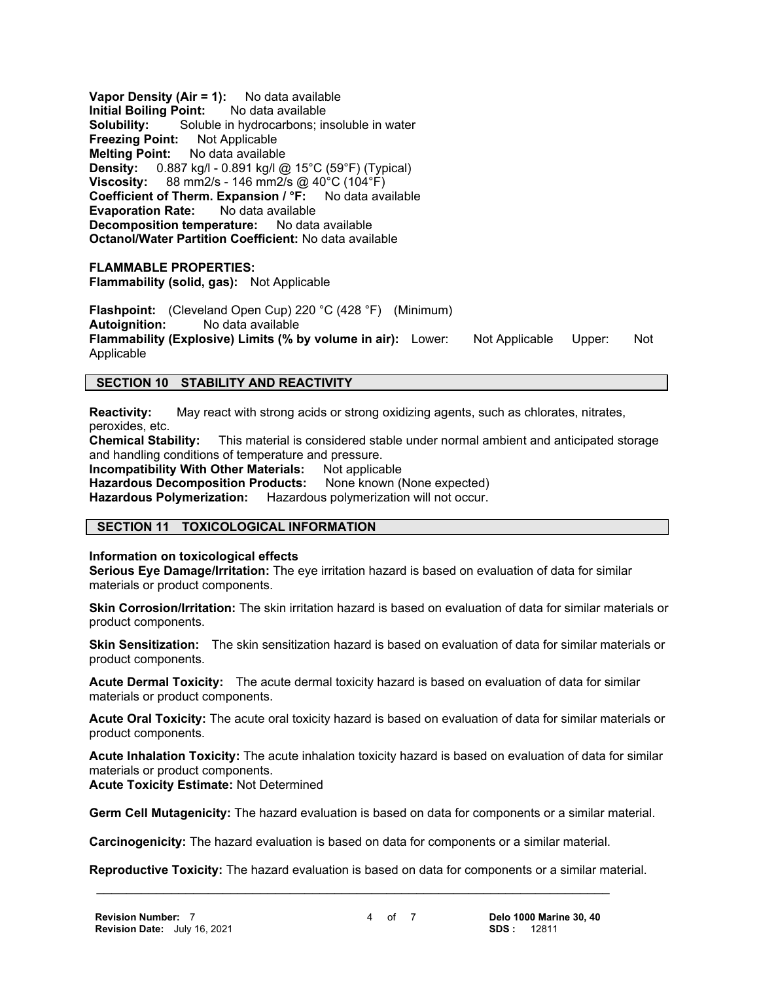**Vapor Density (Air = 1):** No data available **Initial Boiling Point:** No data available **Solubility:** Soluble in hydrocarbons; insoluble in water **Freezing Point:** Not Applicable **Melting Point:** No data available **Density:** 0.887 kg/l - 0.891 kg/l @ 15°C (59°F) (Typical) **Viscosity:** 88 mm2/s - 146 mm2/s @ 40°C (104°F) **Coefficient of Therm. Expansion / °F:** No data available **Evaporation Rate:** No data available **Decomposition temperature:** No data available **Octanol/Water Partition Coefficient:** No data available

#### **FLAMMABLE PROPERTIES:**

**Flammability (solid, gas):** Not Applicable

**Flashpoint:** (Cleveland Open Cup) 220 °C (428 °F) (Minimum) **Autoignition:** No data available **Flammability (Explosive) Limits (% by volume in air):** Lower: Not Applicable Upper: Not Applicable

## **SECTION 10 STABILITY AND REACTIVITY**

**Reactivity:** May react with strong acids or strong oxidizing agents, such as chlorates, nitrates, peroxides, etc.<br>Chemical Stability:

This material is considered stable under normal ambient and anticipated storage and handling conditions of temperature and pressure.

**Incompatibility With Other Materials:** Not applicable

Hazardous Decomposition Products: None known (None expected)

**Hazardous Polymerization:** Hazardous polymerization will not occur.

## **SECTION 11 TOXICOLOGICAL INFORMATION**

**Information on toxicological effects**

**Serious Eye Damage/Irritation:** The eye irritation hazard is based on evaluation of data for similar materials or product components.

**Skin Corrosion/Irritation:** The skin irritation hazard is based on evaluation of data for similar materials or product components.

**Skin Sensitization:** The skin sensitization hazard is based on evaluation of data for similar materials or product components.

**Acute Dermal Toxicity:** The acute dermal toxicity hazard is based on evaluation of data for similar materials or product components.

**Acute Oral Toxicity:** The acute oral toxicity hazard is based on evaluation of data for similar materials or product components.

**Acute Inhalation Toxicity:** The acute inhalation toxicity hazard is based on evaluation of data for similar materials or product components.

**Acute Toxicity Estimate:** Not Determined

**Germ Cell Mutagenicity:** The hazard evaluation is based on data for components or a similar material.

**Carcinogenicity:** The hazard evaluation is based on data for components or a similar material.

 **\_\_\_\_\_\_\_\_\_\_\_\_\_\_\_\_\_\_\_\_\_\_\_\_\_\_\_\_\_\_\_\_\_\_\_\_\_\_\_\_\_\_\_\_\_\_\_\_\_\_\_\_\_\_\_\_\_\_\_\_\_\_\_\_\_\_\_\_\_**

**Reproductive Toxicity:** The hazard evaluation is based on data for components or a similar material.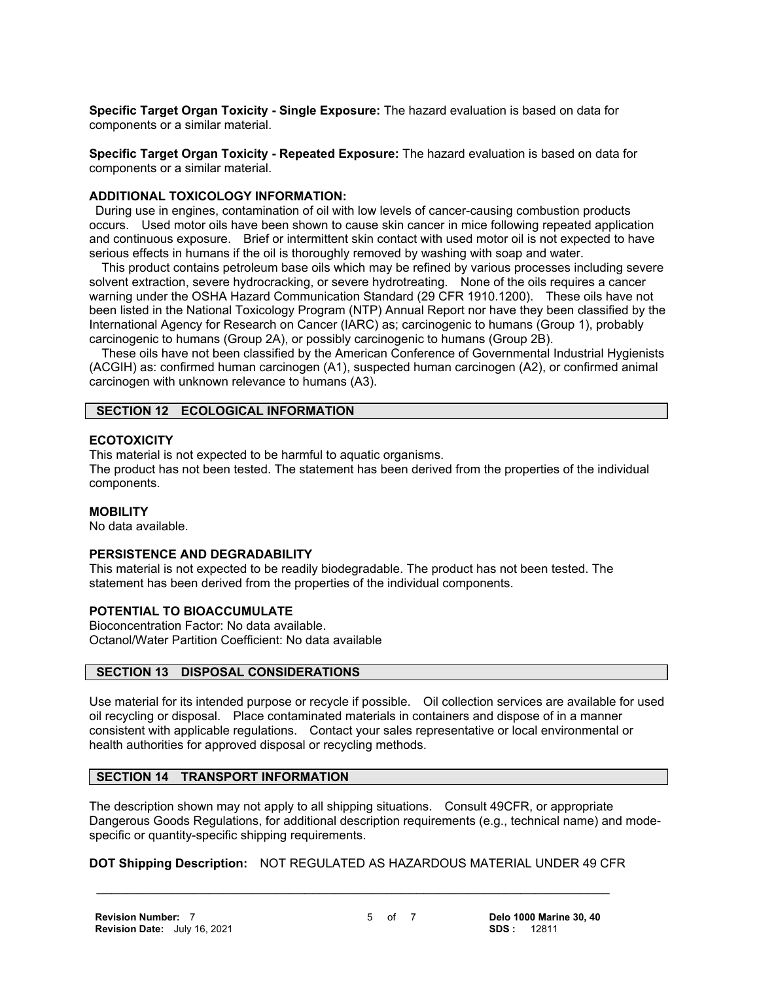**Specific Target Organ Toxicity - Single Exposure:** The hazard evaluation is based on data for components or a similar material.

**Specific Target Organ Toxicity - Repeated Exposure:** The hazard evaluation is based on data for components or a similar material.

#### **ADDITIONAL TOXICOLOGY INFORMATION:**

 During use in engines, contamination of oil with low levels of cancer-causing combustion products occurs. Used motor oils have been shown to cause skin cancer in mice following repeated application and continuous exposure. Brief or intermittent skin contact with used motor oil is not expected to have serious effects in humans if the oil is thoroughly removed by washing with soap and water.

 This product contains petroleum base oils which may be refined by various processes including severe solvent extraction, severe hydrocracking, or severe hydrotreating. None of the oils requires a cancer warning under the OSHA Hazard Communication Standard (29 CFR 1910.1200). These oils have not been listed in the National Toxicology Program (NTP) Annual Report nor have they been classified by the International Agency for Research on Cancer (IARC) as; carcinogenic to humans (Group 1), probably carcinogenic to humans (Group 2A), or possibly carcinogenic to humans (Group 2B).

 These oils have not been classified by the American Conference of Governmental Industrial Hygienists (ACGIH) as: confirmed human carcinogen (A1), suspected human carcinogen (A2), or confirmed animal carcinogen with unknown relevance to humans (A3).

## **SECTION 12 ECOLOGICAL INFORMATION**

### **ECOTOXICITY**

This material is not expected to be harmful to aquatic organisms. The product has not been tested. The statement has been derived from the properties of the individual components.

#### **MOBILITY**

No data available.

## **PERSISTENCE AND DEGRADABILITY**

This material is not expected to be readily biodegradable. The product has not been tested. The statement has been derived from the properties of the individual components.

#### **POTENTIAL TO BIOACCUMULATE**

Bioconcentration Factor: No data available. Octanol/Water Partition Coefficient: No data available

## **SECTION 13 DISPOSAL CONSIDERATIONS**

Use material for its intended purpose or recycle if possible. Oil collection services are available for used oil recycling or disposal. Place contaminated materials in containers and dispose of in a manner consistent with applicable regulations. Contact your sales representative or local environmental or health authorities for approved disposal or recycling methods.

## **SECTION 14 TRANSPORT INFORMATION**

The description shown may not apply to all shipping situations. Consult 49CFR, or appropriate Dangerous Goods Regulations, for additional description requirements (e.g., technical name) and modespecific or quantity-specific shipping requirements.

## **DOT Shipping Description:** NOT REGULATED AS HAZARDOUS MATERIAL UNDER 49 CFR

 **\_\_\_\_\_\_\_\_\_\_\_\_\_\_\_\_\_\_\_\_\_\_\_\_\_\_\_\_\_\_\_\_\_\_\_\_\_\_\_\_\_\_\_\_\_\_\_\_\_\_\_\_\_\_\_\_\_\_\_\_\_\_\_\_\_\_\_\_\_**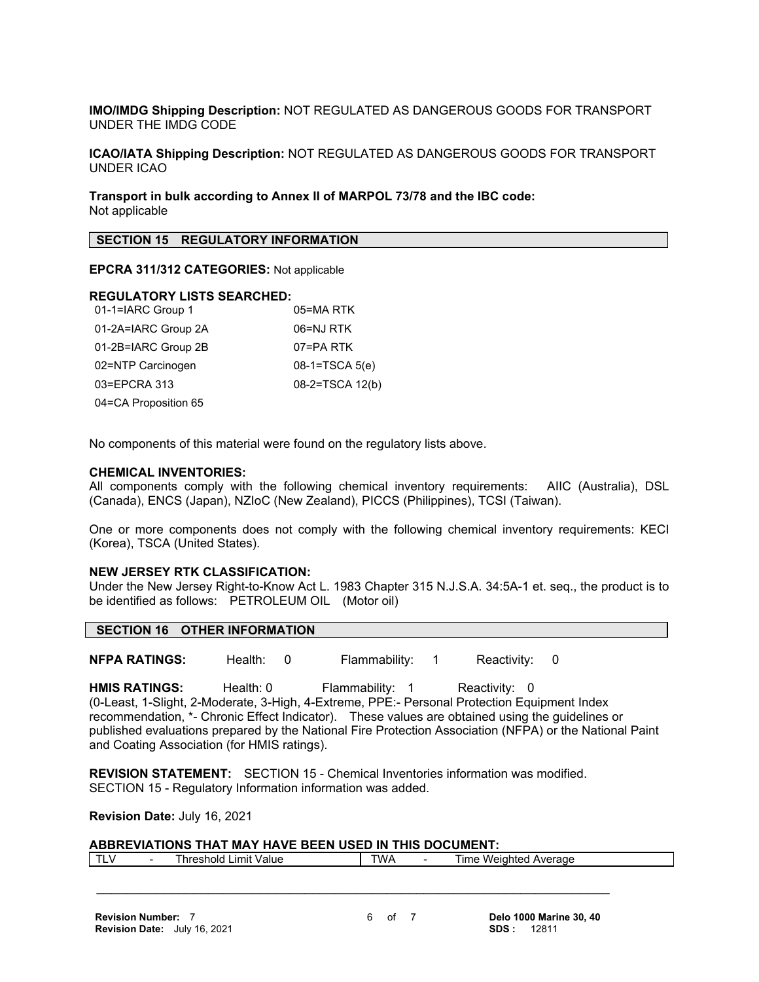**IMO/IMDG Shipping Description:** NOT REGULATED AS DANGEROUS GOODS FOR TRANSPORT UNDER THE IMDG CODE

**ICAO/IATA Shipping Description:** NOT REGULATED AS DANGEROUS GOODS FOR TRANSPORT UNDER ICAO

**Transport in bulk according to Annex II of MARPOL 73/78 and the IBC code:** Not applicable

#### **SECTION 15 REGULATORY INFORMATION**

#### **EPCRA 311/312 CATEGORIES:** Not applicable

#### **REGULATORY LISTS SEARCHED:**

| 01-1=IARC Group 1    | 05=MA RTK        |
|----------------------|------------------|
| 01-2A=IARC Group 2A  | 06=NJ RTK        |
| 01-2B=IARC Group 2B  | 07=PA RTK        |
| 02=NTP Carcinogen    | $08-1=TSCA 5(e)$ |
| 03=EPCRA 313         | 08-2=TSCA 12(b)  |
| 04=CA Proposition 65 |                  |

No components of this material were found on the regulatory lists above.

#### **CHEMICAL INVENTORIES:**

All components comply with the following chemical inventory requirements: AIIC (Australia), DSL (Canada), ENCS (Japan), NZIoC (New Zealand), PICCS (Philippines), TCSI (Taiwan).

One or more components does not comply with the following chemical inventory requirements: KECI (Korea), TSCA (United States).

#### **NEW JERSEY RTK CLASSIFICATION:**

Under the New Jersey Right-to-Know Act L. 1983 Chapter 315 N.J.S.A. 34:5A-1 et. seq., the product is to be identified as follows: PETROLEUM OIL (Motor oil)

#### **SECTION 16 OTHER INFORMATION**

**NFPA RATINGS:** Health: 0 Flammability: 1 Reactivity: 0

HMIS RATINGS: Health: 0 Flammability: 1 Reactivity: 0 (0-Least, 1-Slight, 2-Moderate, 3-High, 4-Extreme, PPE:- Personal Protection Equipment Index recommendation, \*- Chronic Effect Indicator). These values are obtained using the guidelines or published evaluations prepared by the National Fire Protection Association (NFPA) or the National Paint and Coating Association (for HMIS ratings).

**REVISION STATEMENT:** SECTION 15 - Chemical Inventories information was modified. SECTION 15 - Regulatory Information information was added.

 **\_\_\_\_\_\_\_\_\_\_\_\_\_\_\_\_\_\_\_\_\_\_\_\_\_\_\_\_\_\_\_\_\_\_\_\_\_\_\_\_\_\_\_\_\_\_\_\_\_\_\_\_\_\_\_\_\_\_\_\_\_\_\_\_\_\_\_\_\_**

**Revision Date:** July 16, 2021

#### **ABBREVIATIONS THAT MAY HAVE BEEN USED IN THIS DOCUMENT:**

| v<br>- | ' hreshold<br>∟ımıt `<br>Value | TWA | l ıme<br>Weighted<br>Average |
|--------|--------------------------------|-----|------------------------------|
|        |                                |     |                              |